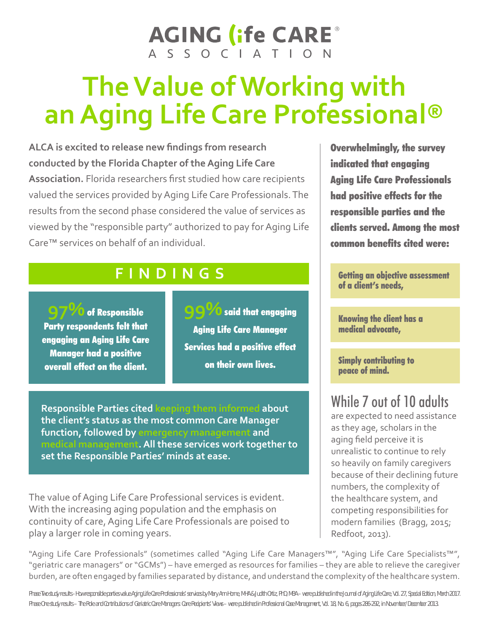# **AGING (ife CARE®** A S S O C | A T | O N

# **The Value of Working with an Aging Life Care Professional®**

**ALCA is excited to release new findings from research conducted by the Florida Chapter of the Aging Life Care Association.** Florida researchers first studied how care recipients valued the services provided by Aging Life Care Professionals. The results from the second phase considered the value of services as viewed by the "responsible party" authorized to pay for Aging Life Care™ services on behalf of an individual.

## **FINDINGS**

**97%**of Responsible Party respondents felt that engaging an Aging Life Care Manager had a positive overall effect on the client.

**99%**said that engaging Aging Life Care Manager Services had a positive effect on their own lives.

**Responsible Parties cited keeping them informed about the client's status as the most common Care Manager function, followed by emergency management and medical management. All these services work together to set the Responsible Parties' minds at ease.**

The value of Aging Life Care Professional services is evident. With the increasing aging population and the emphasis on continuity of care, Aging Life Care Professionals are poised to play a larger role in coming years.

Overwhelmingly, the survey indicated that engaging Aging Life Care Professionals had positive effects for the responsible parties and the clients served. Among the most common benefits cited were:

Getting an objective assessment of a client's needs,

Knowing the client has a medical advocate,

Simply contributing to peace of mind.

## While 7 out of 10 adults

are expected to need assistance as they age, scholars in the aging field perceive it is unrealistic to continue to rely so heavily on family caregivers because of their declining future numbers, the complexity of the healthcare system, and competing responsibilities for modern families (Bragg, 2015; Redfoot, 2013).

"Aging Life Care Professionals" (sometimes called "Aging Life Care Managers™", "Aging Life Care Specialists™", "geriatric care managers" or "GCMs") – have emerged as resources for families – they are able to relieve the caregiver burden, are often engaged by families separated by distance, and understand the complexity of the healthcare system.

Phase Two study results - How responsible parties value Aging Life Care Professionals' services by Mary Ann Horne, MHA & Judith Ortiz, PhD, MBA - were published in the Journal of Aging Life Care, Vol. 27, Special Edition, *Phase One study results – The Role and Contributions of Geriatric Care Managers: Care Recipients' Views – were published in Professional Case Management, Vol. 18, No. 6, pages 286-292, in November/December 2013.*